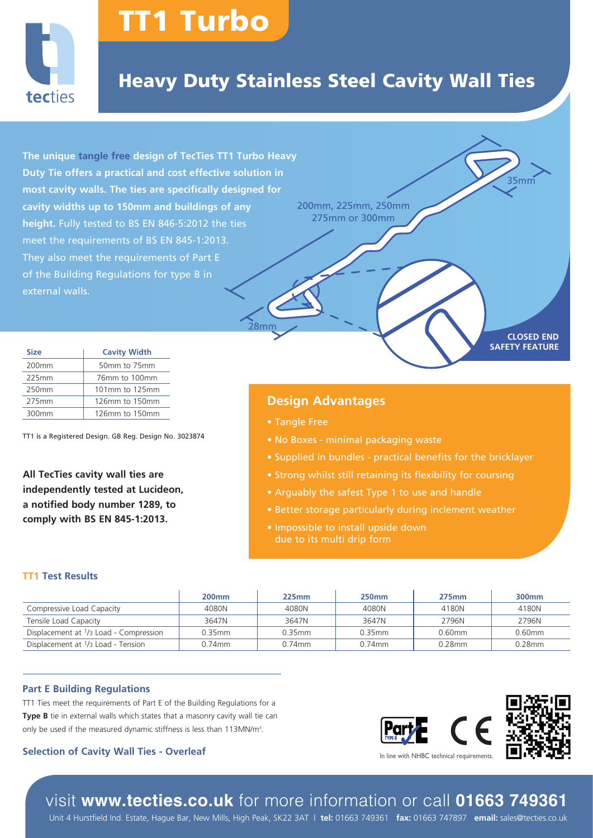

# TT1 Turbo

# Heavy Duty Stainless Steel Cavity Wall Ties

**The unique tangle free design of TecTies TT1 Turbo Heavy Duty Tie offers a practical and cost effective solution in most cavity walls. The ties are specifically designed for cavity widths up to 150mm and buildings of any height.** Fully tested to BS EN 846-5:2012 the ties meet the requirements of BS EN 845-1:2013. They also meet the requirements of Part E of the Building Regulations for type B in external walls.

200mm, 225mm, 250mm 275mm or 300mm

## **Design Advantages**

• Tangle Free

28mm

- No Boxes minimal packaging waste
- Supplied in bundles practical benefits for the bricklayer
- 
- Arguably the safest Type 1 to use and handle
- Better storage particularly during inclement weather
- Impossible to install upside down due to its multi drip form

#### **TT1 Test Results**

|                                                            | <b>200mm</b> | 225mm     | <b>250mm</b> | $275$ mm  | 300 <sub>mm</sub> |
|------------------------------------------------------------|--------------|-----------|--------------|-----------|-------------------|
| Compressive Load Capacity                                  | 4080N        | 4080N     | 4080N        | 4180N     | 4180N             |
| Tensile Load Capacity                                      | 3647N        | 3647N     | 3647N        | 2796N     | 2796N             |
| Displacement at 1/3 Load - Compression                     | $0.35$ mm    | $0.35$ mm | 0.35mm       | 0.60mm    | $0.60$ mm         |
| Displacement at <sup>1</sup> / <sub>3</sub> Load - Tension | $0.74$ mm    | 0.74mm    | $0.74$ mm    | $0.28$ mm | 0.28mm            |

#### **Part E Building Regulations**

TT1 Ties meet the requirements of Part E of the Building Regulations for a **Type B** tie in external walls which states that a masonry cavity wall tie can only be used if the measured dynamic stiffness is less than 113MN/m<sup>3</sup>.

#### **Selection of Cavity Wall Ties - Overleaf**

TT1 is a Registered Design. GB Reg. Design No. 3023874

**All TecTies cavity wall ties are independently tested at Lucideon, a notified body number 1289, to comply with BS EN 845-1:2013.**

**Size Cavity Width** 200mm 50mm to 75mm 225mm 76mm to 100mm 250mm 101mm to 125mm 275mm | 126mm to 150mm 300mm 126mm to 150mm



**CLOSED END SAFETY FEATURE**

35mm

# visit **www.tecties.co.uk** for more information or call **01663 749361**

Unit 4 Hurstfield Ind. Estate, Hague Bar, New Mills, High Peak, SK22 3AT | **tel:** 01663 749361 **fax:** 01663 747897 **email:** sales@tecties.co.uk